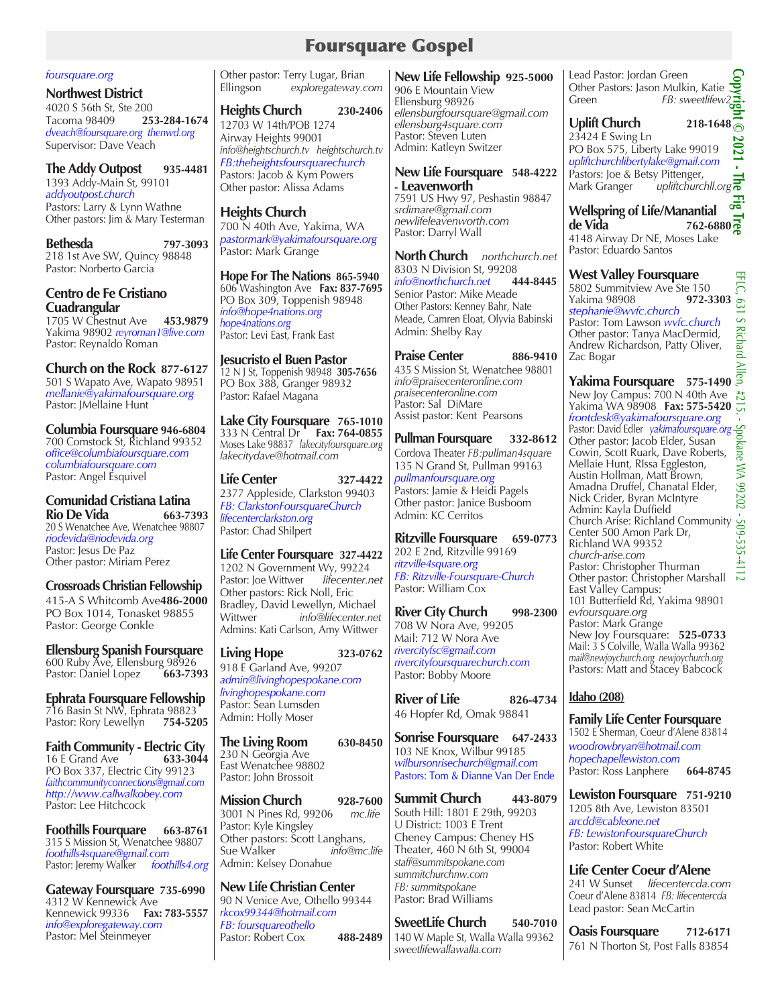## Foursquare Gospel

#### *foursquare.org*

**Northwest District**  4020 S 56th St, Ste 200 Tacoma 98409 **253-284-1674** *dveach@foursquare.org thenwd.org* Supervisor: Dave Veach

### **The Addy Outpost 935-4481** 1393 Addy-Main St, 99101 *addyoutpost.church*

Pastors: Larry & Lynn Wathne Other pastors: Jim & Mary Testerman

**Bethesda 797-3093** 218 1st Ave SW, Quincy 98848 Pastor: Norberto Garcia

#### **Centro de Fe Cristiano Cuadrangular**  1705 W Chestnut Ave **453.9879** Yakima 98902 *reyroman1@live.com*

Pastor: Reynaldo Roman **Church on the Rock 877-6127**

501 S Wapato Ave, Wapato 98951 *mellanie@yakimafoursquare.org* Pastor: JMellaine Hunt

**Columbia Foursquare 946-6804** 700 Comstock St, Richland 99352 *office@columbiafoursquare.com columbiafoursquare.com* Pastor: Angel Esquivel

# **Comunidad Cristiana Latina**

**Rio De Vida 663-7393**  20 S Wenatchee Ave, Wenatchee 98807 *riodevida@riodevida.org*  Pastor: Jesus De Paz Other pastor: Miriam Perez

### **Crossroads Christian Fellowship**

415-A S Whitcomb Ave**486-2000** PO Box 1014, Tonasket 98855 Pastor: George Conkle

**Ellensburg Spanish Foursquare**  600 Ruby Ave, Ellensburg 98926<br>Pastor: Daniel Lopez 663-7393 Pastor: Daniel Lopez

**Ephrata Foursquare Fellowship** 716 Basin St NW, Ephrata 98823 Pastor: Rory Lewellyn **754-5205**

**Faith Community - Electric City**<br>16 E Grand Ave 633-3044 16 E Grand Ave PO Box 337, Electric City 99123 *faithcommunityconnections@gmail.com http://www.callwalkobey.com* Pastor: Lee Hitchcock

**Foothills Fourquare 663-8761**  315 S Mission St, Wenatchee 98807 *foothills4square@gmail.com* Pastor: Jeremy Walker *foothills4.org*

**Gateway Foursquare 735-6990** 4312 W Kennewick Ave Kennewick 99336 **Fax: 783-5557** *info@exploregateway.com* Pastor: Mel Steinmeyer

Other pastor: Terry Lugar, Brian Ellingson *exploregateway.com*

**Heights Church 230-2406** 12703 W 14th/POB 1274 Airway Heights 99001 *info@heightschurch.tv heightschurch.tv FB:theheightsfoursquarechurch* Pastors: Jacob & Kym Powers Other pastor: Alissa Adams

## **Heights Church**

700 N 40th Ave, Yakima, WA *pastormark@yakimafoursquare.org* Pastor: Mark Grange

**Hope For The Nations 865-5940** 606 Washington Ave **Fax: 837-7695**  PO Box 309, Toppenish 98948 *info@hope4nations.org hope4nations.org* Pastor: Levi East, Frank East

**Jesucristo el Buen Pastor** 12 N J St, Toppenish 98948 **305-7656** PO Box 388, Granger 98932 Pastor: Rafael Magana

**Lake City Foursquare 765-1010**  333 N Central Dr **Fax: 764-0855** Moses Lake 98837 *lakecityfoursquare.org lakecitydave@hotmail.com*

**Life Center 327-4422** 2377 Appleside, Clarkston 99403 *FB: ClarkstonFoursquareChurch lifecenterclarkston.org*  Pastor: Chad Shilpert

**Life Center Foursquare 327-4422** 1202 N Government Wy, 99224<br>Pastor: Joe Wittwer lifecenter.net Pastor: Joe Wittwer Other pastors: Rick Noll, Eric Bradley, David Lewellyn, Michael Wittwer *info@lifecenter.net*  Admins: Kati Carlson, Amy Wittwer

**Living Hope 323-0762** 918 E Garland Ave, 99207 *admin@livinghopespokane.com livinghopespokane.com* Pastor: Sean Lumsden Admin: Holly Moser

**The Living Room 630-8450** 230 N Georgia Ave East Wenatchee 98802 Pastor: John Brossoit

**Mission Church 928-7600**<br>3001 N Pines Rd. 99206 *mc.life* 3001 N Pines Rd, 99206 *mc.life* Pastor: Kyle Kingsley Other pastors: Scott Langhans,<br>Sue Walker info@mc.life Sue Walker Admin: Kelsey Donahue

**New Life Christian Center**  90 N Venice Ave, Othello 99344 *rkcox99344@hotmail.com FB: foursquareothello*  Pastor: Robert Cox **488-2489**

**New Life Fellowship 925-5000** 906 E Mountain View Ellensburg 98926 *ellensburgfoursquare@gmail.com ellensburg4square.com* Pastor: Steven Luten Admin: Katleyn Switzer

#### **New Life Foursquare 548-4222 - Leavenworth** 7591 US Hwy 97, Peshastin 98847

*srdimare@gmail.com newlifeleavenworth.com*  Pastor: Darryl Wall

**North Church** *northchurch.net* 8303 N Division St, 99208<br>
info@northchurch.net 444-8445 *info@northchurch.net* **444-8445** Senior Pastor: Mike Meade Other Pastors: Kenney Bahr, Nate Meade, Camren Eloat, Olyvia Babinski Admin: Shelby Ray

**Praise Center 886-9410** 435 S Mission St, Wenatchee 98801 *info@praisecenteronline.com praisecenteronline.com* Pastor: Sal DiMare Assist pastor: Kent Pearsons

**Pullman Foursquare 332-8612** Cordova Theater *FB:pullman4square* 135 N Grand St, Pullman 99163 *pullmanfoursquare.org* Pastors: Jamie & Heidi Pagels Other pastor: Janice Busboom Admin: KC Cerritos

**Ritzville Foursquare 659-0773** 202 E 2nd, Ritzville 99169 *ritzville4square.org FB: Ritzville-Foursquare-Church* Pastor: William Cox

**River City Church 998-2300** 708 W Nora Ave, 99205 Mail: 712 W Nora Ave *rivercityfsc@gmail.com rivercityfoursquarechurch.com* Pastor: Bobby Moore

**River of Life 826-4734** 46 Hopfer Rd, Omak 98841

**Sonrise Foursquare 647-2433** 103 NE Knox, Wilbur 99185 *wilbursonrisechurch@gmail.com* Pastors: Tom & Dianne Van Der Ende

**Summit Church 443-8079** South Hill: 1801 E 29th, 99203 U District: 1003 E Trent Cheney Campus: Cheney HS Theater, 460 N 6th St, 99004 *staff@summitspokane.com summitchurchnw.com FB: summitspokane* Pastor: Brad Williams

**SweetLife Church 540-7010** 140 W Maple St, Walla Walla 99362 *sweetlifewallawalla.com*

Lead Pastor: Jordan Green Other Pastors: Jason Mulkin, Katie Green *Coher Pastors: Jason Mulkin, Katie*<br>Green *FB: sweetlifew2* 

## **Uplift Church 218-1648**

23424 E Swing Ln PO Box 575, Liberty Lake 99019 *upliftchurchlibertylake@gmail.com* Pastors: Joe & Betsy Pittenger, Mark Granger *upliftchurchll.org*

**Copyright © 2021 - The Fig Tree** 品 **Wellspring of Life/Manantial de Vida 762-6880** 4148 Airway Dr NE, Moses Lake

Pastor: Eduardo Santos

**West Valley Foursquare**  5802 Summitview Ave Ste 150<br>Yakima 98908 **972-3303** Yakima 98908 **972-3303** *stephanie@wvfc.church*  Pastor: Tom Lawson *wvfc.church* Other pastor: Tanya MacDermid, Andrew Richardson, Patty Oliver, Zac Bogar

**Yakima Foursquare 575-1490**  New Joy Campus: 700 N 40th Ave Yakima WA 98908 **Fax: 575-5420** *frontdesk@yakimafoursquare.org*  Pastor: David Edler *yakimafoursquare.org* Other pastor: Jacob Elder, Susan Cowin, Scott Ruark, Dave Roberts, Mellaie Hunt, RIssa Eggleston, Austin Hollman, Matt Brown, Amadna Druffel, Chanatal Elder, Nick Crider, Byran McIntyre Admin: Kayla Duffield Church Arise: Richland Community<br>Center 500 Amon Park Dr,<br>Richland WA 99352<br>Church-arise.com Center 500 Amon Park Dr, Richland WA 99352 *church-arise.com* Pastor: Christopher Thurman Other pastor: Christopher Marshall East Valley Campus: 101 Butterfield Rd, Yakima 98901 *evfoursquare.org*  Pastor: Mark Grange New Joy Foursquare: **525-0733** Mail: 3 S Colville, Walla Walla 99362 *mail@newjoychurch.org newjoychurch.org* Pastors: Matt and Stacey Babcock

## **Idaho (208)**

**Family Life Center Foursquare**  1502 E Sherman, Coeur d'Alene 83814 *woodrowbryan@hotmail.com hopechapellewiston.com* Pastor: Ross Lanphere **664-8745**

**Lewiston Foursquare 751-9210** 1205 8th Ave, Lewiston 83501 *arcdd@cableone.net FB: LewistonFoursquareChurch* Pastor: Robert White

**Life Center Coeur d'Alene** 241 W Sunset *lifecentercda.com* Coeur d'Alene 83814 *FB: lifecentercda* Lead pastor: Sean McCartin

**Oasis Foursquare 712-6171** 761 N Thorton St, Post Falls 83854